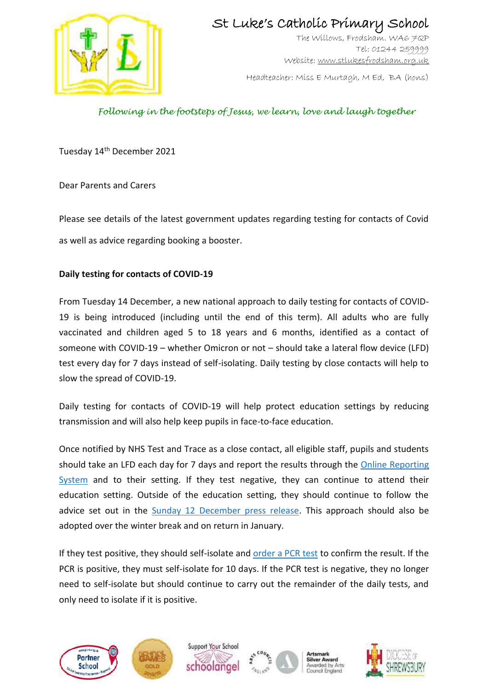

# St Luke's Catholic Primary School

The Willows, Frodsham. WA6 7QP Tel: 01244 259999 Website[: www.stlukesfrodsham.org.uk](http://www.stlukesfrodsham.org.uk/)

Headteacher: Miss E Murtagh, M Ed, BA (hons)

### *Following in the footsteps of Jesus, we learn, love and laugh together*

Tuesday 14th December 2021

Dear Parents and Carers

Please see details of the latest government updates regarding testing for contacts of Covid as well as advice regarding booking a booster.

#### **Daily testing for contacts of COVID-19**

From Tuesday 14 December, a new national approach to daily testing for contacts of COVID-19 is being introduced (including until the end of this term). All adults who are fully vaccinated and children aged 5 to 18 years and 6 months, identified as a contact of someone with COVID-19 – whether Omicron or not – should take a lateral flow device (LFD) test every day for 7 days instead of self-isolating. Daily testing by close contacts will help to slow the spread of COVID-19.

Daily testing for contacts of COVID-19 will help protect education settings by reducing transmission and will also help keep pupils in face-to-face education.

Once notified by NHS Test and Trace as a close contact, all eligible staff, pupils and students should take an LFD each day for 7 days and report the results through the [Online Reporting](https://www.gov.uk/report-covid19-result?utm_source=13%20December%202021%20C19&utm_medium=Daily%20Email%20C19&utm_campaign=DfE%20C19)  [System](https://www.gov.uk/report-covid19-result?utm_source=13%20December%202021%20C19&utm_medium=Daily%20Email%20C19&utm_campaign=DfE%20C19) and to their setting. If they test negative, they can continue to attend their education setting. Outside of the education setting, they should continue to follow the advice set out in the [Sunday 12 December press release.](https://www.gov.uk/government/news/daily-rapid-testing-for-covid-19-contacts-launches-this-week?utm_source=13%20December%202021%20C19&utm_medium=Daily%20Email%20C19&utm_campaign=DfE%20C19) This approach should also be adopted over the winter break and on return in January.

If they test positive, they should self-isolate and [order a PCR test](https://www.gov.uk/get-coronavirus-test?utm_source=13%20December%202021%20C19&utm_medium=Daily%20Email%20C19&utm_campaign=DfE%20C19) to confirm the result. If the PCR is positive, they must self-isolate for 10 days. If the PCR test is negative, they no longer need to self-isolate but should continue to carry out the remainder of the daily tests, and only need to isolate if it is positive.





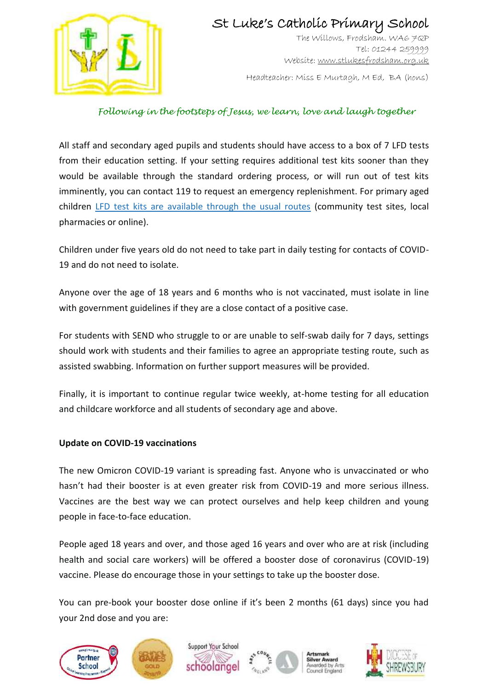

# St Luke's Catholic Primary School

The Willows, Frodsham. WA6 7QP Tel: 01244 259999 Website[: www.stlukesfrodsham.org.uk](http://www.stlukesfrodsham.org.uk/)

Headteacher: Miss E Murtagh, M Ed, BA (hons)

### *Following in the footsteps of Jesus, we learn, love and laugh together*

All staff and secondary aged pupils and students should have access to a box of 7 LFD tests from their education setting. If your setting requires additional test kits sooner than they would be available through the standard ordering process, or will run out of test kits imminently, you can contact 119 to request an emergency replenishment. For primary aged children [LFD test kits are available through the usual routes](https://www.gov.uk/order-coronavirus-rapid-lateral-flow-tests?utm_source=13%20December%202021%20C19&utm_medium=Daily%20Email%20C19&utm_campaign=DfE%20C19) (community test sites, local pharmacies or online).

Children under five years old do not need to take part in daily testing for contacts of COVID-19 and do not need to isolate.

Anyone over the age of 18 years and 6 months who is not vaccinated, must isolate in line with government guidelines if they are a close contact of a positive case.

For students with SEND who struggle to or are unable to self-swab daily for 7 days, settings should work with students and their families to agree an appropriate testing route, such as assisted swabbing. Information on further support measures will be provided.

Finally, it is important to continue regular twice weekly, at-home testing for all education and childcare workforce and all students of secondary age and above.

#### **Update on COVID-19 vaccinations**

The new Omicron COVID-19 variant is spreading fast. Anyone who is unvaccinated or who hasn't had their booster is at even greater risk from COVID-19 and more serious illness. Vaccines are the best way we can protect ourselves and help keep children and young people in face-to-face education.

People aged 18 years and over, and those aged 16 years and over who are at risk (including health and social care workers) will be offered a booster dose of coronavirus (COVID-19) vaccine. Please do encourage those in your settings to take up the booster dose.

You can pre-book your booster dose online if it's been 2 months (61 days) since you had your 2nd dose and you are: